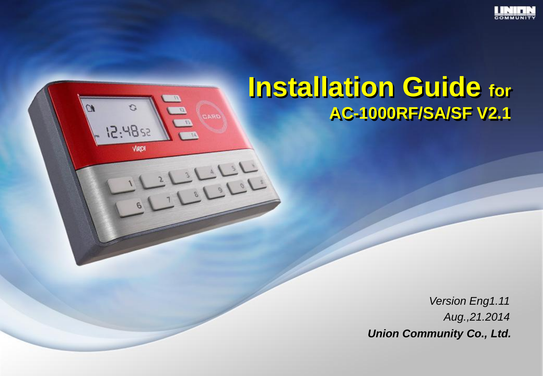

# **Installation Guide for AC-1000RF/SA/SF V2.1**

 $\overline{a}$ 

G

 $5284:51$ 

VIRDI

**ORAD** 

فسافيا وآ

*Version Eng1.11 Aug.,21.2014 Union Community Co., Ltd.*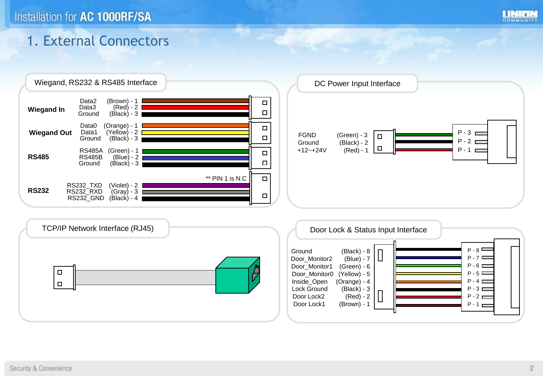

### 1. External Connectors

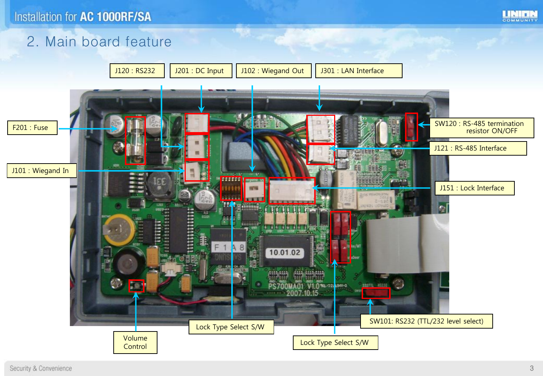

### 2. Main board feature

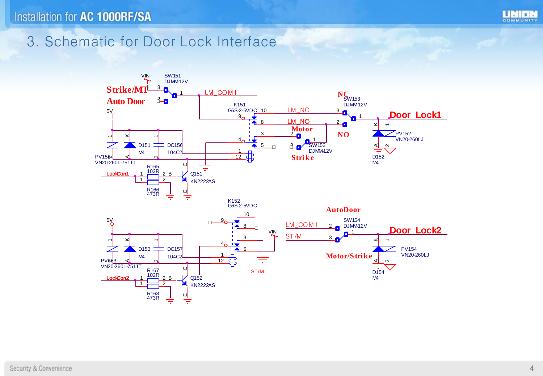



### 3. Schematic for Door Lock Interface

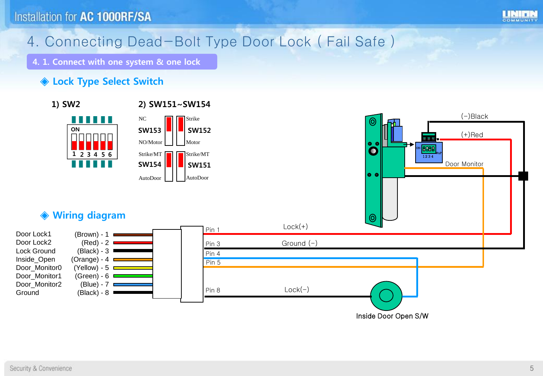

# 4. Connecting Dead-Bolt Type Door Lock ( Fail Safe )

4. 1. Connect with one system & one lock

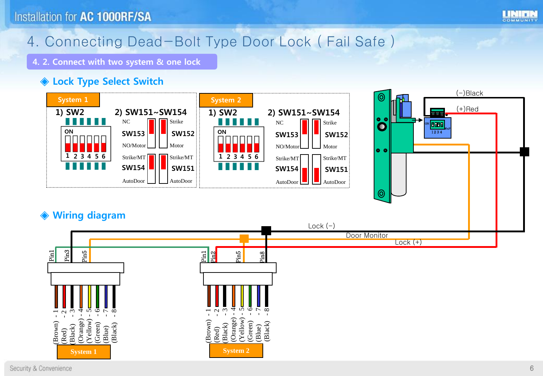

### 4. Connecting Dead-Bolt Type Door Lock ( Fail Safe )

4. 2. Connect with two system & one lock

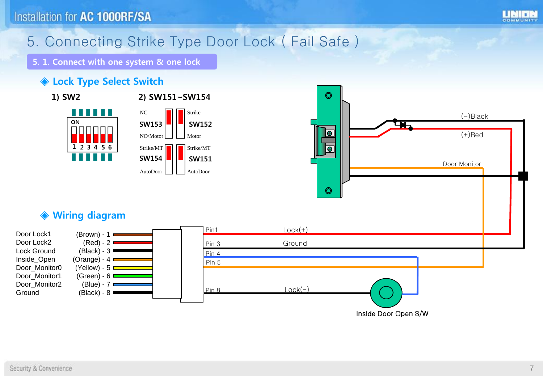

# 5. Connecting Strike Type Door Lock ( Fail Safe )

5. 1. Connect with one system & one lock

#### ◆ Lock Type Select Switch





Pin 5

Pin 4 Pin 3

Pin 8



Inside Door Open S/W

#### ◈ Wiring diagram

 $(Brown) - 1$  $(Red) - 2$ (Black) - 3 (Orange) -  $4 \blacksquare$ (Yellow) -  $5 \equiv$ (Green) -  $6 \equiv$  $(B$ lue) - 7 (Black) - 8

Door Lock1 Door Lock2 Lock Ground Inside\_Open Door\_Monitor0 Door\_Monitor1 Door\_Monitor2 **Ground**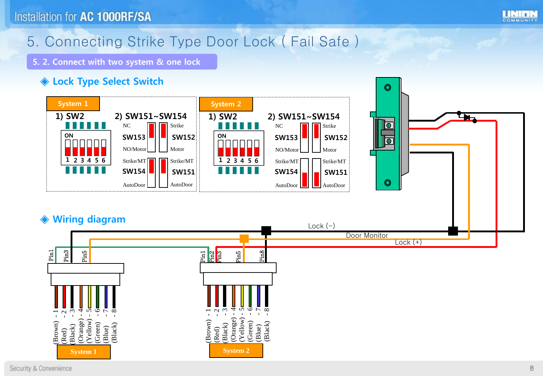

### 5. Connecting Strike Type Door Lock ( Fail Safe )

5. 2. Connect with two system & one lock

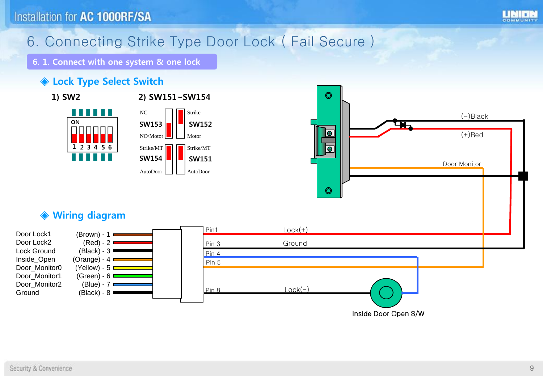

# 6. Connecting Strike Type Door Lock ( Fail Secure )

6. 1. Connect with one system & one lock

#### ◆ Lock Type Select Switch









#### ◈ Wiring diagram

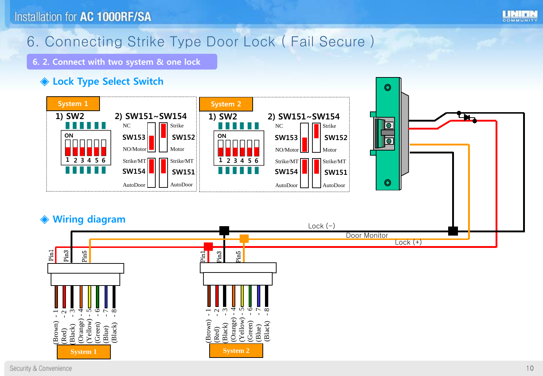

### 6. Connecting Strike Type Door Lock ( Fail Secure )

6. 2. Connect with two system & one lock

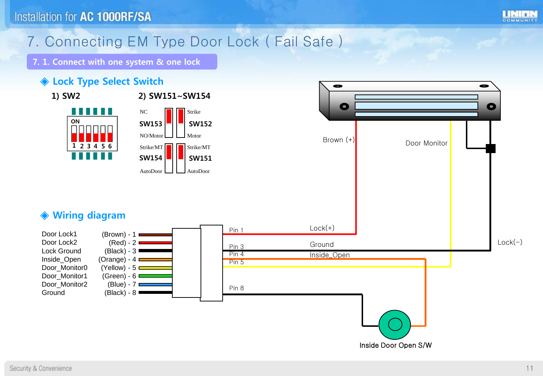

### 7. Connecting EM Type Door Lock ( Fail Safe )

7. 1. Connect with one system & one lock

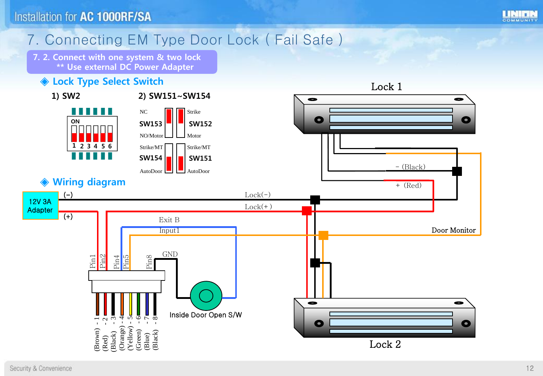

### 7. Connecting EM Type Door Lock ( Fail Safe )

7. 2. Connect with one system & two lock \*\* Use external DC Power Adapter



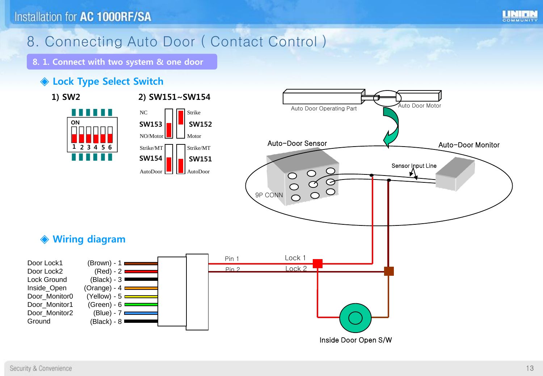

# 8. Connecting Auto Door ( Contact Control )

8. 1. Connect with two system & one door

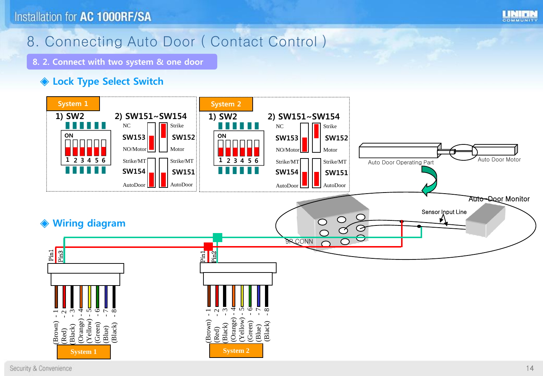

### 8. Connecting Auto Door ( Contact Control )

8. 2. Connect with two system & one door

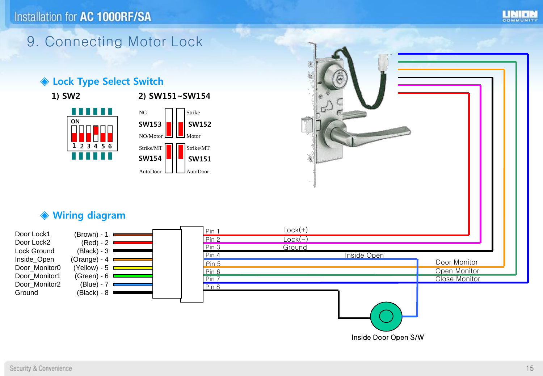

### 9. Connecting Motor Lock

#### ◆ Lock Type Select Switch



### 1) SW2 2) SW151~SW154





#### ◈ Wiring diagram

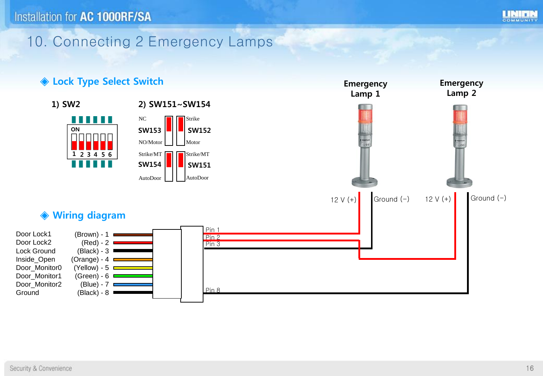

### 10. Connecting 2 Emergency Lamps